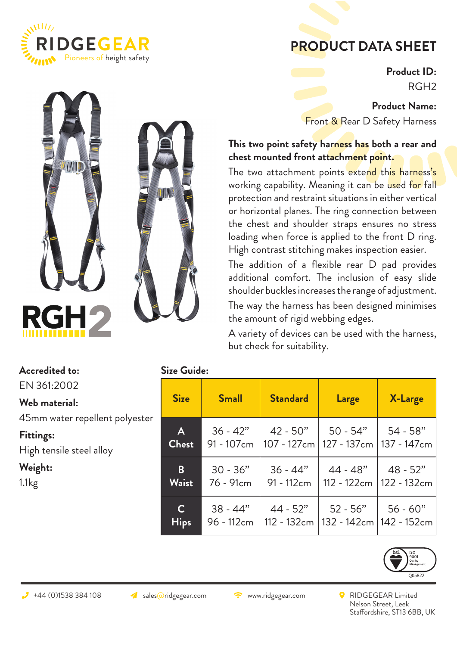

## **PRODUCT DATA SHEET**

**Product ID:** RGH2

**Product Name:** Front & Rear D Safety Harness

## **This two point safety harness has both a rear and chest mounted front attachment point.**

The two attachment points extend this harness's working capability. Meaning it can be used for fall protection and restraint situations in either vertical or horizontal planes. The ring connection between the chest and shoulder straps ensures no stress loading when force is applied to the front D ring. High contrast stitching makes inspection easier.

The addition of a flexible rear D pad provides additional comfort. The inclusion of easy slide shoulder buckles increases the range of adjustment.

The way the harness has been designed minimises the amount of rigid webbing edges.

A variety of devices can be used with the harness, but check for suitability.

| Accredited to:                 | <b>Size Guide:</b>    |              |                                                                                                     |                                        |         |
|--------------------------------|-----------------------|--------------|-----------------------------------------------------------------------------------------------------|----------------------------------------|---------|
| EN 361:2002                    |                       |              |                                                                                                     |                                        |         |
| Web material:                  | <b>Size</b>           | <b>Small</b> | <b>Standard</b>                                                                                     | Large                                  | X-Large |
| 45mm water repellent polyester |                       |              |                                                                                                     |                                        |         |
| Fittings:                      | $\mathsf{A}$<br>Chest |              | $36 - 42"$   42 - 50"   50 - 54"   54 - 58"<br>91 - 107cm   107 - 127cm   127 - 137cm   137 - 147cı |                                        |         |
| High tensile steel alloy       |                       |              |                                                                                                     |                                        |         |
| Weight:                        | $\mathbf{B}$          |              | $30 - 36"$   $36 - 44"$   $44 - 48"$   $48 - 52"$                                                   |                                        |         |
| 1.1kg                          | <b>Waist</b>          | 76 - 91cm    |                                                                                                     | 91 - 112cm   112 - 122cm   122 - 132cı |         |
|                                | $\mathsf{C}$          |              | $38 - 44"$   44 - 52"   52 - 56"   56 - 60"                                                         |                                        |         |
|                                | <b>Hips</b>           |              | 96 - 112cm   112 - 132cm   132 - 142cm   142 - 152cı                                                |                                        |         |



- 147 cm

122 - 132cm

- 152cm

Nelson Street, Leek Staffordshire, ST13 6BB, UK